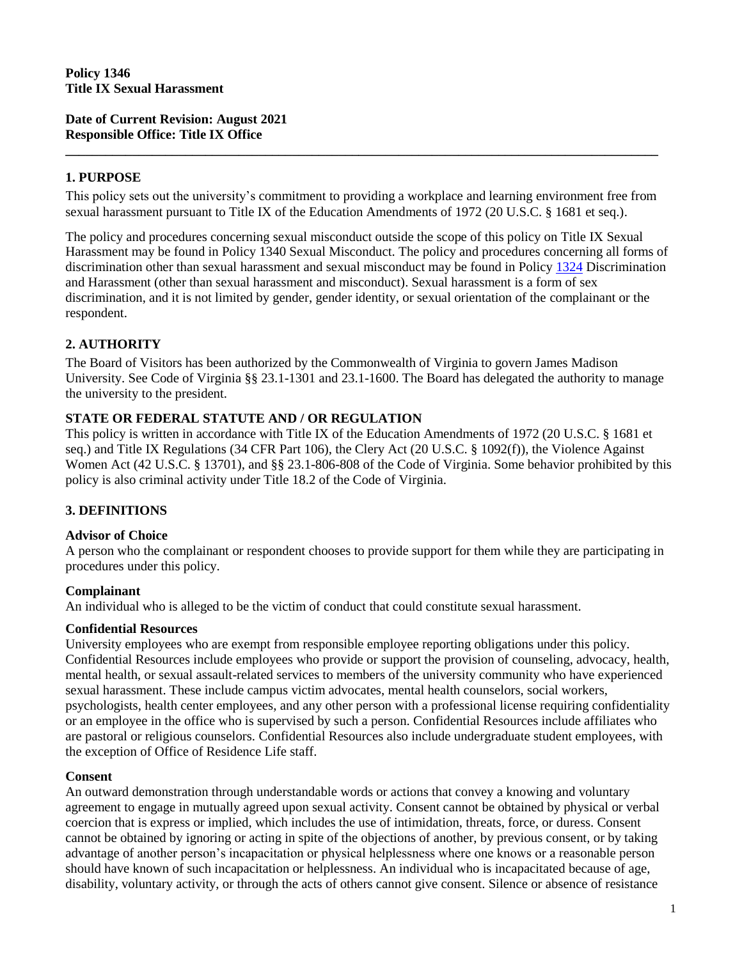**Date of Current Revision: August 2021 Responsible Office: Title IX Office** 

## **1. PURPOSE**

This policy sets out the university's commitment to providing a workplace and learning environment free from sexual harassment pursuant to Title IX of the Education Amendments of 1972 (20 U.S.C. § 1681 et seq.).

**\_\_\_\_\_\_\_\_\_\_\_\_\_\_\_\_\_\_\_\_\_\_\_\_\_\_\_\_\_\_\_\_\_\_\_\_\_\_\_\_\_\_\_\_\_\_\_\_\_\_\_\_\_\_\_\_\_\_\_\_\_\_\_\_\_\_\_\_\_\_\_\_\_\_\_\_\_\_\_\_\_\_\_\_\_\_\_\_\_**

The policy and procedures concerning sexual misconduct outside the scope of this policy on Title IX Sexual Harassment may be found in Policy 1340 Sexual Misconduct. The policy and procedures concerning all forms of discrimination other than sexual harassment and sexual misconduct may be found in Policy [1324](https://www.jmu.edu/JMUpolicy/policies/1324.shtml) Discrimination and Harassment (other than sexual harassment and misconduct). Sexual harassment is a form of sex discrimination, and it is not limited by gender, gender identity, or sexual orientation of the complainant or the respondent.

### **2. AUTHORITY**

The Board of Visitors has been authorized by the Commonwealth of Virginia to govern James Madison University. See Code of Virginia §§ 23.1-1301 and 23.1-1600. The Board has delegated the authority to manage the university to the president.

#### **STATE OR FEDERAL STATUTE AND / OR REGULATION**

This policy is written in accordance with Title IX of the Education Amendments of 1972 (20 U.S.C. § 1681 et seq.) and Title IX Regulations (34 CFR Part 106), the Clery Act (20 U.S.C. § 1092(f)), the Violence Against Women Act (42 U.S.C. § 13701), and §§ 23.1-806-808 of the Code of Virginia. Some behavior prohibited by this policy is also criminal activity under Title 18.2 of the Code of Virginia.

## **3. DEFINITIONS**

#### **Advisor of Choice**

A person who the complainant or respondent chooses to provide support for them while they are participating in procedures under this policy.

#### **Complainant**

An individual who is alleged to be the victim of conduct that could constitute sexual harassment.

#### **Confidential Resources**

University employees who are exempt from responsible employee reporting obligations under this policy. Confidential Resources include employees who provide or support the provision of counseling, advocacy, health, mental health, or sexual assault-related services to members of the university community who have experienced sexual harassment. These include campus victim advocates, mental health counselors, social workers, psychologists, health center employees, and any other person with a professional license requiring confidentiality or an employee in the office who is supervised by such a person. Confidential Resources include affiliates who are pastoral or religious counselors. Confidential Resources also include undergraduate student employees, with the exception of Office of Residence Life staff.

#### **Consent**

An outward demonstration through understandable words or actions that convey a knowing and voluntary agreement to engage in mutually agreed upon sexual activity. Consent cannot be obtained by physical or verbal coercion that is express or implied, which includes the use of intimidation, threats, force, or duress. Consent cannot be obtained by ignoring or acting in spite of the objections of another, by previous consent, or by taking advantage of another person's incapacitation or physical helplessness where one knows or a reasonable person should have known of such incapacitation or helplessness. An individual who is incapacitated because of age, disability, voluntary activity, or through the acts of others cannot give consent. Silence or absence of resistance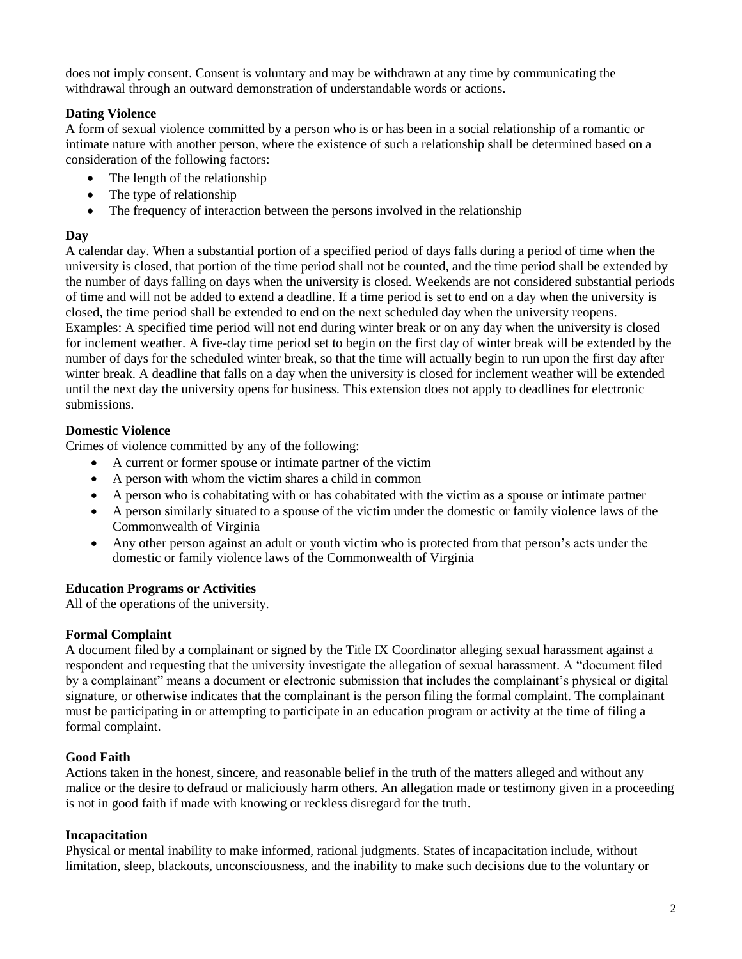does not imply consent. Consent is voluntary and may be withdrawn at any time by communicating the withdrawal through an outward demonstration of understandable words or actions.

# **Dating Violence**

A form of sexual violence committed by a person who is or has been in a social relationship of a romantic or intimate nature with another person, where the existence of such a relationship shall be determined based on a consideration of the following factors:

- The length of the relationship
- The type of relationship
- The frequency of interaction between the persons involved in the relationship

## **Day**

A calendar day. When a substantial portion of a specified period of days falls during a period of time when the university is closed, that portion of the time period shall not be counted, and the time period shall be extended by the number of days falling on days when the university is closed. Weekends are not considered substantial periods of time and will not be added to extend a deadline. If a time period is set to end on a day when the university is closed, the time period shall be extended to end on the next scheduled day when the university reopens. Examples: A specified time period will not end during winter break or on any day when the university is closed for inclement weather. A five-day time period set to begin on the first day of winter break will be extended by the number of days for the scheduled winter break, so that the time will actually begin to run upon the first day after winter break. A deadline that falls on a day when the university is closed for inclement weather will be extended until the next day the university opens for business. This extension does not apply to deadlines for electronic submissions.

# **Domestic Violence**

Crimes of violence committed by any of the following:

- A current or former spouse or intimate partner of the victim
- A person with whom the victim shares a child in common
- A person who is cohabitating with or has cohabitated with the victim as a spouse or intimate partner
- A person similarly situated to a spouse of the victim under the domestic or family violence laws of the Commonwealth of Virginia
- Any other person against an adult or youth victim who is protected from that person's acts under the domestic or family violence laws of the Commonwealth of Virginia

## **Education Programs or Activities**

All of the operations of the university.

## **Formal Complaint**

A document filed by a complainant or signed by the Title IX Coordinator alleging sexual harassment against a respondent and requesting that the university investigate the allegation of sexual harassment. A "document filed by a complainant" means a document or electronic submission that includes the complainant's physical or digital signature, or otherwise indicates that the complainant is the person filing the formal complaint. The complainant must be participating in or attempting to participate in an education program or activity at the time of filing a formal complaint.

## **Good Faith**

Actions taken in the honest, sincere, and reasonable belief in the truth of the matters alleged and without any malice or the desire to defraud or maliciously harm others. An allegation made or testimony given in a proceeding is not in good faith if made with knowing or reckless disregard for the truth.

## **Incapacitation**

Physical or mental inability to make informed, rational judgments. States of incapacitation include, without limitation, sleep, blackouts, unconsciousness, and the inability to make such decisions due to the voluntary or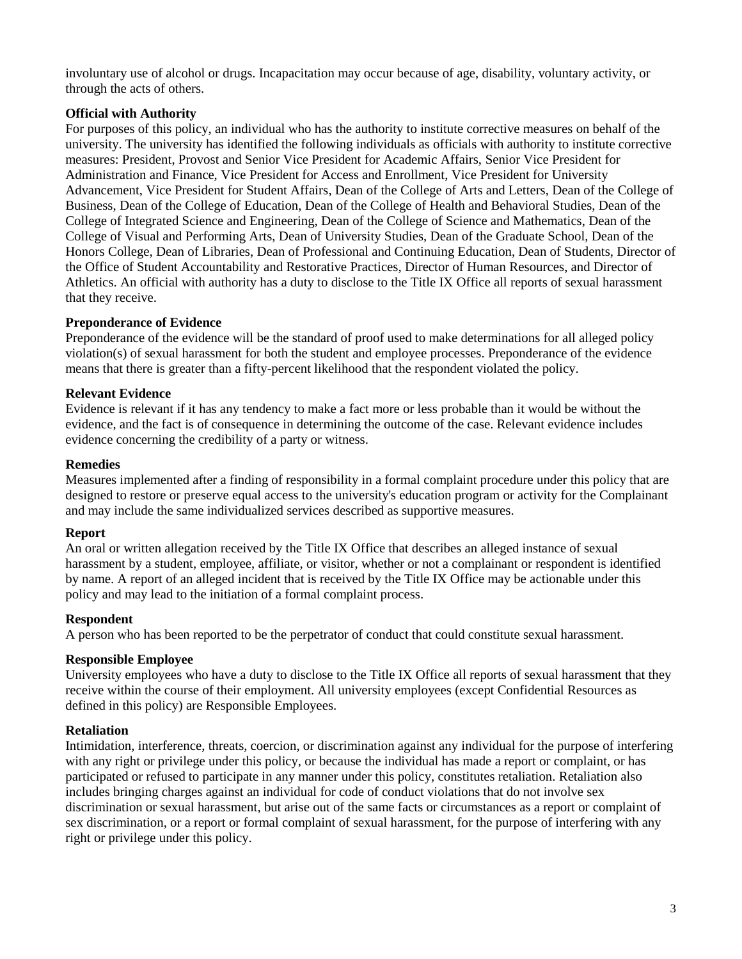involuntary use of alcohol or drugs. Incapacitation may occur because of age, disability, voluntary activity, or through the acts of others.

### **Official with Authority**

For purposes of this policy, an individual who has the authority to institute corrective measures on behalf of the university. The university has identified the following individuals as officials with authority to institute corrective measures: President, Provost and Senior Vice President for Academic Affairs, Senior Vice President for Administration and Finance, Vice President for Access and Enrollment, Vice President for University Advancement, Vice President for Student Affairs, Dean of the College of Arts and Letters, Dean of the College of Business, Dean of the College of Education, Dean of the College of Health and Behavioral Studies, Dean of the College of Integrated Science and Engineering, Dean of the College of Science and Mathematics, Dean of the College of Visual and Performing Arts, Dean of University Studies, Dean of the Graduate School, Dean of the Honors College, Dean of Libraries, Dean of Professional and Continuing Education, Dean of Students, Director of the Office of Student Accountability and Restorative Practices, Director of Human Resources, and Director of Athletics. An official with authority has a duty to disclose to the Title IX Office all reports of sexual harassment that they receive.

#### **Preponderance of Evidence**

Preponderance of the evidence will be the standard of proof used to make determinations for all alleged policy violation(s) of sexual harassment for both the student and employee processes. Preponderance of the evidence means that there is greater than a fifty-percent likelihood that the respondent violated the policy.

### **Relevant Evidence**

Evidence is relevant if it has any tendency to make a fact more or less probable than it would be without the evidence, and the fact is of consequence in determining the outcome of the case. Relevant evidence includes evidence concerning the credibility of a party or witness.

#### **Remedies**

Measures implemented after a finding of responsibility in a formal complaint procedure under this policy that are designed to restore or preserve equal access to the university's education program or activity for the Complainant and may include the same individualized services described as supportive measures.

#### **Report**

An oral or written allegation received by the Title IX Office that describes an alleged instance of sexual harassment by a student, employee, affiliate, or visitor, whether or not a complainant or respondent is identified by name. A report of an alleged incident that is received by the Title IX Office may be actionable under this policy and may lead to the initiation of a formal complaint process.

## **Respondent**

A person who has been reported to be the perpetrator of conduct that could constitute sexual harassment.

## **Responsible Employee**

University employees who have a duty to disclose to the Title IX Office all reports of sexual harassment that they receive within the course of their employment. All university employees (except Confidential Resources as defined in this policy) are Responsible Employees.

#### **Retaliation**

Intimidation, interference, threats, coercion, or discrimination against any individual for the purpose of interfering with any right or privilege under this policy, or because the individual has made a report or complaint, or has participated or refused to participate in any manner under this policy, constitutes retaliation. Retaliation also includes bringing charges against an individual for code of conduct violations that do not involve sex discrimination or sexual harassment, but arise out of the same facts or circumstances as a report or complaint of sex discrimination, or a report or formal complaint of sexual harassment, for the purpose of interfering with any right or privilege under this policy.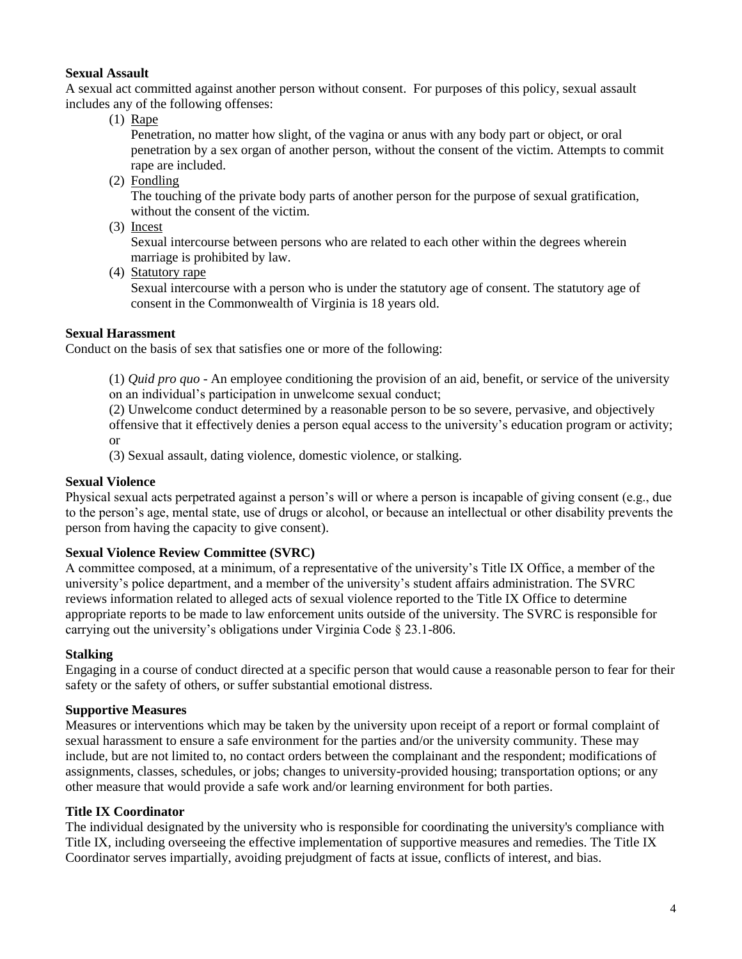### **Sexual Assault**

A sexual act committed against another person without consent. For purposes of this policy, sexual assault includes any of the following offenses:

(1) Rape

Penetration, no matter how slight, of the vagina or anus with any body part or object, or oral penetration by a sex organ of another person, without the consent of the victim. Attempts to commit rape are included.

(2) Fondling

The touching of the private body parts of another person for the purpose of sexual gratification, without the consent of the victim.

(3) Incest

Sexual intercourse between persons who are related to each other within the degrees wherein marriage is prohibited by law.

(4) Statutory rape

Sexual intercourse with a person who is under the statutory age of consent. The statutory age of consent in the Commonwealth of Virginia is 18 years old.

### **Sexual Harassment**

Conduct on the basis of sex that satisfies one or more of the following:

(1) *Quid pro quo* - An employee conditioning the provision of an aid, benefit, or service of the university on an individual's participation in unwelcome sexual conduct;

(2) Unwelcome conduct determined by a reasonable person to be so severe, pervasive, and objectively offensive that it effectively denies a person equal access to the university's education program or activity; or

(3) Sexual assault, dating violence, domestic violence, or stalking.

#### **Sexual Violence**

Physical sexual acts perpetrated against a person's will or where a person is incapable of giving consent (e.g., due to the person's age, mental state, use of drugs or alcohol, or because an intellectual or other disability prevents the person from having the capacity to give consent).

#### **Sexual Violence Review Committee (SVRC)**

A committee composed, at a minimum, of a representative of the university's Title IX Office, a member of the university's police department, and a member of the university's student affairs administration. The SVRC reviews information related to alleged acts of sexual violence reported to the Title IX Office to determine appropriate reports to be made to law enforcement units outside of the university. The SVRC is responsible for carrying out the university's obligations under Virginia Code § 23.1-806.

### **Stalking**

Engaging in a course of conduct directed at a specific person that would cause a reasonable person to fear for their safety or the safety of others, or suffer substantial emotional distress.

#### **Supportive Measures**

Measures or interventions which may be taken by the university upon receipt of a report or formal complaint of sexual harassment to ensure a safe environment for the parties and/or the university community. These may include, but are not limited to, no contact orders between the complainant and the respondent; modifications of assignments, classes, schedules, or jobs; changes to university-provided housing; transportation options; or any other measure that would provide a safe work and/or learning environment for both parties.

#### **Title IX Coordinator**

The individual designated by the university who is responsible for coordinating the university's compliance with Title IX, including overseeing the effective implementation of supportive measures and remedies. The Title IX Coordinator serves impartially, avoiding prejudgment of facts at issue, conflicts of interest, and bias.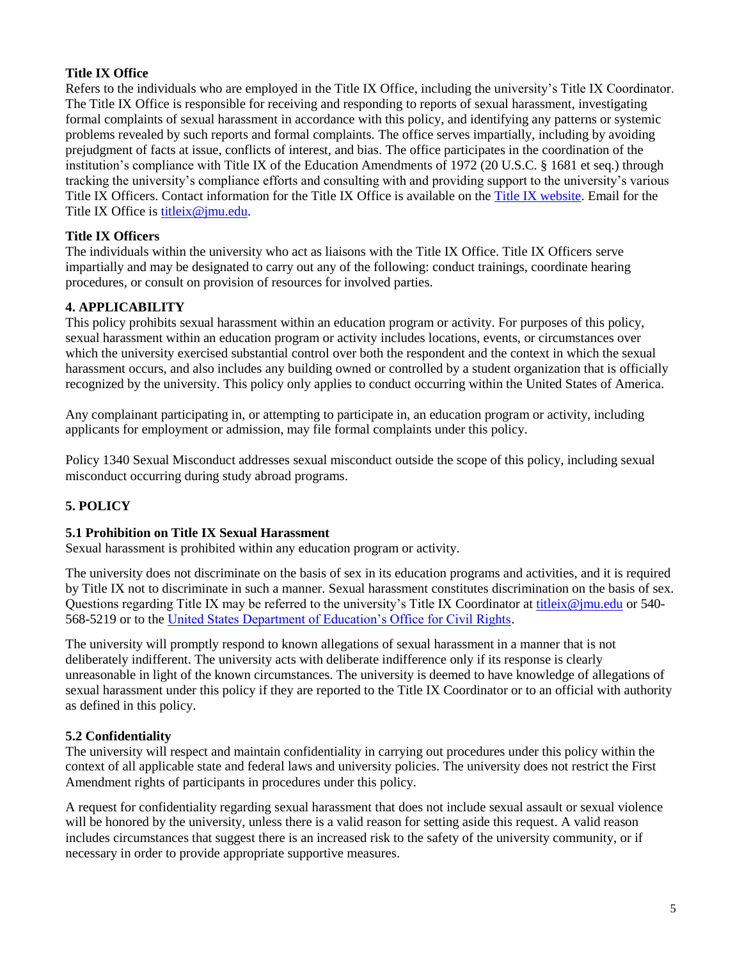## **Title IX Office**

Refers to the individuals who are employed in the Title IX Office, including the university's Title IX Coordinator. The Title IX Office is responsible for receiving and responding to reports of sexual harassment, investigating formal complaints of sexual harassment in accordance with this policy, and identifying any patterns or systemic problems revealed by such reports and formal complaints. The office serves impartially, including by avoiding prejudgment of facts at issue, conflicts of interest, and bias. The office participates in the coordination of the institution's compliance with Title IX of the Education Amendments of 1972 (20 U.S.C. § 1681 et seq.) through tracking the university's compliance efforts and consulting with and providing support to the university's various Title IX Officers. Contact information for the Title IX Office is available on the [Title IX website.](https://www.jmu.edu/access-and-enrollment/titleIX/profile-titleix-officers.shtml) Email for the Title IX Office is [titleix@jmu.edu.](mailto:titleix@jmu.edu)

## **Title IX Officers**

The individuals within the university who act as liaisons with the Title IX Office. Title IX Officers serve impartially and may be designated to carry out any of the following: conduct trainings, coordinate hearing procedures, or consult on provision of resources for involved parties.

### **4. APPLICABILITY**

This policy prohibits sexual harassment within an education program or activity. For purposes of this policy, sexual harassment within an education program or activity includes locations, events, or circumstances over which the university exercised substantial control over both the respondent and the context in which the sexual harassment occurs, and also includes any building owned or controlled by a student organization that is officially recognized by the university. This policy only applies to conduct occurring within the United States of America.

Any complainant participating in, or attempting to participate in, an education program or activity, including applicants for employment or admission, may file formal complaints under this policy.

Policy 1340 Sexual Misconduct addresses sexual misconduct outside the scope of this policy, including sexual misconduct occurring during study abroad programs.

## **5. POLICY**

#### **5.1 Prohibition on Title IX Sexual Harassment**

Sexual harassment is prohibited within any education program or activity.

The university does not discriminate on the basis of sex in its education programs and activities, and it is required by Title IX not to discriminate in such a manner. Sexual harassment constitutes discrimination on the basis of sex. Questions regarding Title IX may be referred to the university's Title IX Coordinator at [titleix@jmu.edu](mailto:titleix@jmu.edu) or 540- 568-5219 or to the [United States Department of Education's Office for Civil Rights.](http://www2.ed.gov/about/offices/list/ocr/index.html)

The university will promptly respond to known allegations of sexual harassment in a manner that is not deliberately indifferent. The university acts with deliberate indifference only if its response is clearly unreasonable in light of the known circumstances. The university is deemed to have knowledge of allegations of sexual harassment under this policy if they are reported to the Title IX Coordinator or to an official with authority as defined in this policy.

#### **5.2 Confidentiality**

The university will respect and maintain confidentiality in carrying out procedures under this policy within the context of all applicable state and federal laws and university policies. The university does not restrict the First Amendment rights of participants in procedures under this policy.

A request for confidentiality regarding sexual harassment that does not include sexual assault or sexual violence will be honored by the university, unless there is a valid reason for setting aside this request. A valid reason includes circumstances that suggest there is an increased risk to the safety of the university community, or if necessary in order to provide appropriate supportive measures.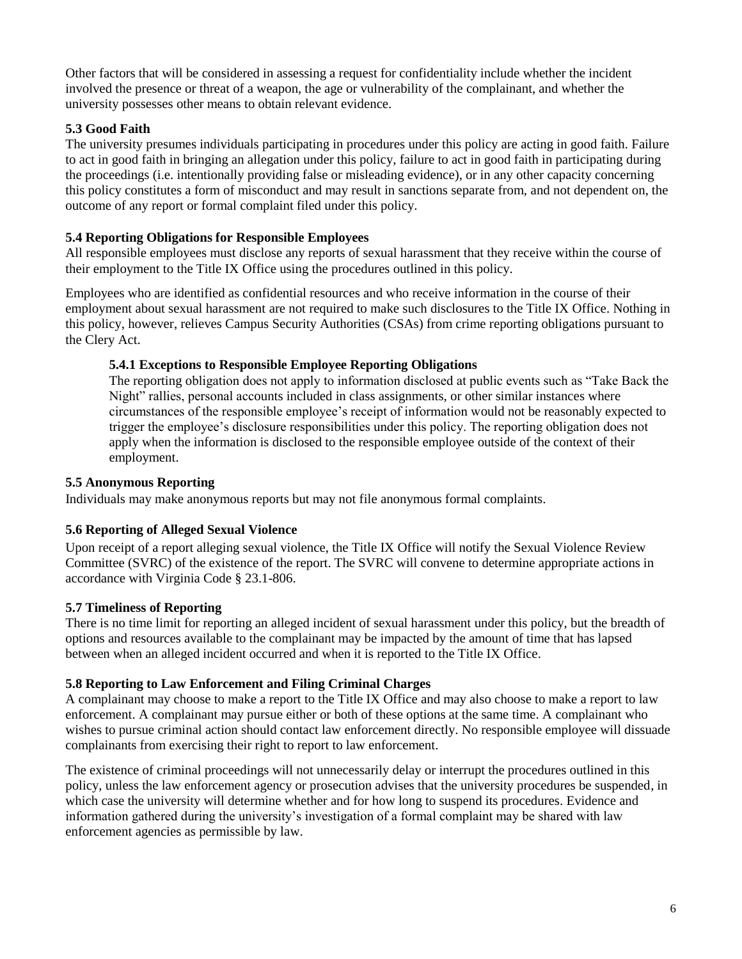Other factors that will be considered in assessing a request for confidentiality include whether the incident involved the presence or threat of a weapon, the age or vulnerability of the complainant, and whether the university possesses other means to obtain relevant evidence.

## **5.3 Good Faith**

The university presumes individuals participating in procedures under this policy are acting in good faith. Failure to act in good faith in bringing an allegation under this policy, failure to act in good faith in participating during the proceedings (i.e. intentionally providing false or misleading evidence), or in any other capacity concerning this policy constitutes a form of misconduct and may result in sanctions separate from, and not dependent on, the outcome of any report or formal complaint filed under this policy.

### **5.4 Reporting Obligations for Responsible Employees**

All responsible employees must disclose any reports of sexual harassment that they receive within the course of their employment to the Title IX Office using the procedures outlined in this policy.

Employees who are identified as confidential resources and who receive information in the course of their employment about sexual harassment are not required to make such disclosures to the Title IX Office. Nothing in this policy, however, relieves Campus Security Authorities (CSAs) from crime reporting obligations pursuant to the Clery Act.

### **5.4.1 Exceptions to Responsible Employee Reporting Obligations**

The reporting obligation does not apply to information disclosed at public events such as "Take Back the Night" rallies, personal accounts included in class assignments, or other similar instances where circumstances of the responsible employee's receipt of information would not be reasonably expected to trigger the employee's disclosure responsibilities under this policy. The reporting obligation does not apply when the information is disclosed to the responsible employee outside of the context of their employment.

### **5.5 Anonymous Reporting**

Individuals may make anonymous reports but may not file anonymous formal complaints.

#### **5.6 Reporting of Alleged Sexual Violence**

Upon receipt of a report alleging sexual violence, the Title IX Office will notify the Sexual Violence Review Committee (SVRC) of the existence of the report. The SVRC will convene to determine appropriate actions in accordance with Virginia Code § 23.1-806.

#### **5.7 Timeliness of Reporting**

There is no time limit for reporting an alleged incident of sexual harassment under this policy, but the breadth of options and resources available to the complainant may be impacted by the amount of time that has lapsed between when an alleged incident occurred and when it is reported to the Title IX Office.

#### **5.8 Reporting to Law Enforcement and Filing Criminal Charges**

A complainant may choose to make a report to the Title IX Office and may also choose to make a report to law enforcement. A complainant may pursue either or both of these options at the same time. A complainant who wishes to pursue criminal action should contact law enforcement directly. No responsible employee will dissuade complainants from exercising their right to report to law enforcement.

The existence of criminal proceedings will not unnecessarily delay or interrupt the procedures outlined in this policy, unless the law enforcement agency or prosecution advises that the university procedures be suspended, in which case the university will determine whether and for how long to suspend its procedures. Evidence and information gathered during the university's investigation of a formal complaint may be shared with law enforcement agencies as permissible by law.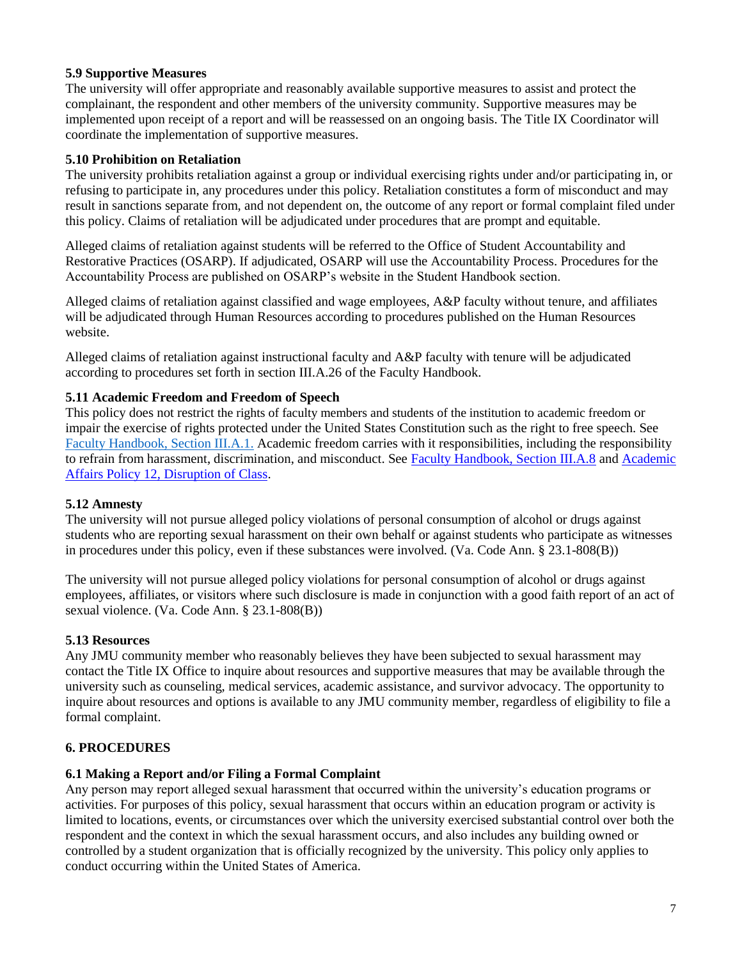### **5.9 Supportive Measures**

The university will offer appropriate and reasonably available supportive measures to assist and protect the complainant, the respondent and other members of the university community. Supportive measures may be implemented upon receipt of a report and will be reassessed on an ongoing basis. The Title IX Coordinator will coordinate the implementation of supportive measures.

### **5.10 Prohibition on Retaliation**

The university prohibits retaliation against a group or individual exercising rights under and/or participating in, or refusing to participate in, any procedures under this policy. Retaliation constitutes a form of misconduct and may result in sanctions separate from, and not dependent on, the outcome of any report or formal complaint filed under this policy. Claims of retaliation will be adjudicated under procedures that are prompt and equitable.

Alleged claims of retaliation against students will be referred to the Office of Student Accountability and Restorative Practices (OSARP). If adjudicated, OSARP will use the Accountability Process. Procedures for the Accountability Process are published on OSARP's website in the Student Handbook section.

Alleged claims of retaliation against classified and wage employees, A&P faculty without tenure, and affiliates will be adjudicated through Human Resources according to procedures published on the Human Resources website.

Alleged claims of retaliation against instructional faculty and A&P faculty with tenure will be adjudicated according to procedures set forth in section III.A.26 of the Faculty Handbook.

#### **5.11 Academic Freedom and Freedom of Speech**

This policy does not restrict the rights of faculty members and students of the institution to academic freedom or impair the exercise of rights protected under the United States Constitution such as the right to free speech. See [Faculty Handbook, Section III.A.1.](https://jmu.edu/facultyhandbook/iii-policies-procedures/a-rights.shtml#IIIA1) Academic freedom carries with it responsibilities, including the responsibility to refrain from harassment, discrimination, and misconduct. See [Faculty Handbook, Section III.A.8](https://jmu.edu/facultyhandbook/iii-policies-procedures/a-rights.shtml?_ga=2.202771481.922545867.1567017274-1807820744.1567017274#IIIA8) and [Academic](https://www.jmu.edu/academic-affairs/_documents/policies/aapolicy-12.pdf)  [Affairs Policy 12, Disruption of Class.](https://www.jmu.edu/academic-affairs/_documents/policies/aapolicy-12.pdf)

#### **5.12 Amnesty**

The university will not pursue alleged policy violations of personal consumption of alcohol or drugs against students who are reporting sexual harassment on their own behalf or against students who participate as witnesses in procedures under this policy, even if these substances were involved. (Va. Code Ann. § 23.1-808(B))

The university will not pursue alleged policy violations for personal consumption of alcohol or drugs against employees, affiliates, or visitors where such disclosure is made in conjunction with a good faith report of an act of sexual violence. (Va. Code Ann. § 23.1-808(B))

#### **5.13 Resources**

Any JMU community member who reasonably believes they have been subjected to sexual harassment may contact the Title IX Office to inquire about resources and supportive measures that may be available through the university such as counseling, medical services, academic assistance, and survivor advocacy. The opportunity to inquire about resources and options is available to any JMU community member, regardless of eligibility to file a formal complaint.

## **6. PROCEDURES**

#### **6.1 Making a Report and/or Filing a Formal Complaint**

Any person may report alleged sexual harassment that occurred within the university's education programs or activities. For purposes of this policy, sexual harassment that occurs within an education program or activity is limited to locations, events, or circumstances over which the university exercised substantial control over both the respondent and the context in which the sexual harassment occurs, and also includes any building owned or controlled by a student organization that is officially recognized by the university. This policy only applies to conduct occurring within the United States of America.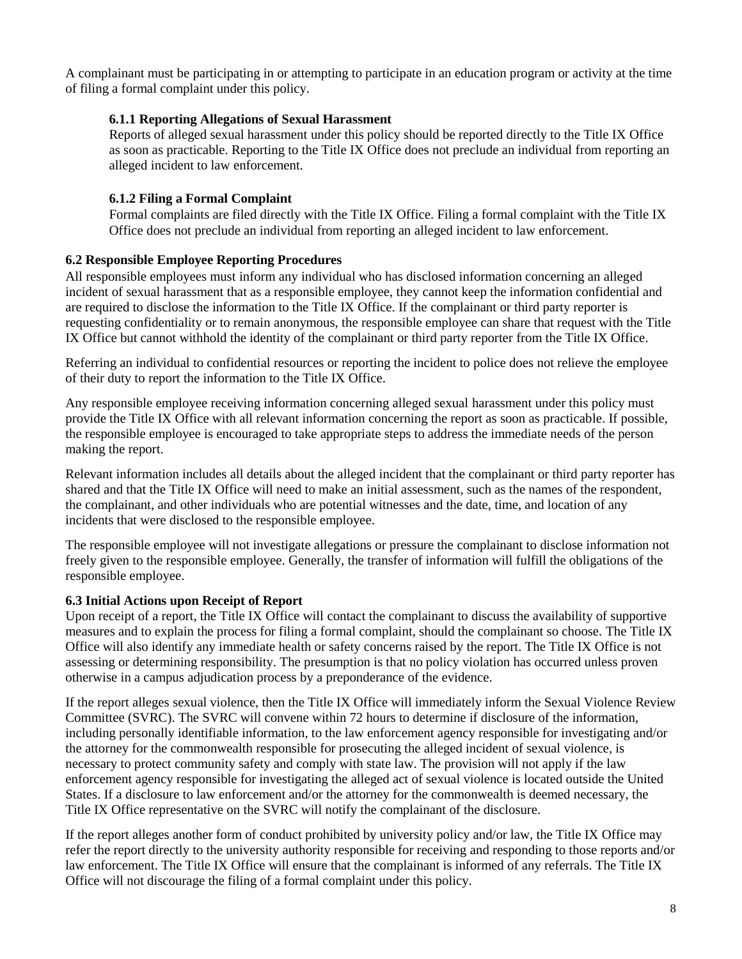A complainant must be participating in or attempting to participate in an education program or activity at the time of filing a formal complaint under this policy.

### **6.1.1 Reporting Allegations of Sexual Harassment**

Reports of alleged sexual harassment under this policy should be reported directly to the Title IX Office as soon as practicable. Reporting to the Title IX Office does not preclude an individual from reporting an alleged incident to law enforcement.

### **6.1.2 Filing a Formal Complaint**

Formal complaints are filed directly with the Title IX Office. Filing a formal complaint with the Title IX Office does not preclude an individual from reporting an alleged incident to law enforcement.

## **6.2 Responsible Employee Reporting Procedures**

All responsible employees must inform any individual who has disclosed information concerning an alleged incident of sexual harassment that as a responsible employee, they cannot keep the information confidential and are required to disclose the information to the Title IX Office. If the complainant or third party reporter is requesting confidentiality or to remain anonymous, the responsible employee can share that request with the Title IX Office but cannot withhold the identity of the complainant or third party reporter from the Title IX Office.

Referring an individual to confidential resources or reporting the incident to police does not relieve the employee of their duty to report the information to the Title IX Office.

Any responsible employee receiving information concerning alleged sexual harassment under this policy must provide the Title IX Office with all relevant information concerning the report as soon as practicable. If possible, the responsible employee is encouraged to take appropriate steps to address the immediate needs of the person making the report.

Relevant information includes all details about the alleged incident that the complainant or third party reporter has shared and that the Title IX Office will need to make an initial assessment, such as the names of the respondent, the complainant, and other individuals who are potential witnesses and the date, time, and location of any incidents that were disclosed to the responsible employee.

The responsible employee will not investigate allegations or pressure the complainant to disclose information not freely given to the responsible employee. Generally, the transfer of information will fulfill the obligations of the responsible employee.

#### **6.3 Initial Actions upon Receipt of Report**

Upon receipt of a report, the Title IX Office will contact the complainant to discuss the availability of supportive measures and to explain the process for filing a formal complaint, should the complainant so choose. The Title IX Office will also identify any immediate health or safety concerns raised by the report. The Title IX Office is not assessing or determining responsibility. The presumption is that no policy violation has occurred unless proven otherwise in a campus adjudication process by a preponderance of the evidence.

If the report alleges sexual violence, then the Title IX Office will immediately inform the Sexual Violence Review Committee (SVRC). The SVRC will convene within 72 hours to determine if disclosure of the information, including personally identifiable information, to the law enforcement agency responsible for investigating and/or the attorney for the commonwealth responsible for prosecuting the alleged incident of sexual violence, is necessary to protect community safety and comply with state law. The provision will not apply if the law enforcement agency responsible for investigating the alleged act of sexual violence is located outside the United States. If a disclosure to law enforcement and/or the attorney for the commonwealth is deemed necessary, the Title IX Office representative on the SVRC will notify the complainant of the disclosure.

If the report alleges another form of conduct prohibited by university policy and/or law, the Title IX Office may refer the report directly to the university authority responsible for receiving and responding to those reports and/or law enforcement. The Title IX Office will ensure that the complainant is informed of any referrals. The Title IX Office will not discourage the filing of a formal complaint under this policy.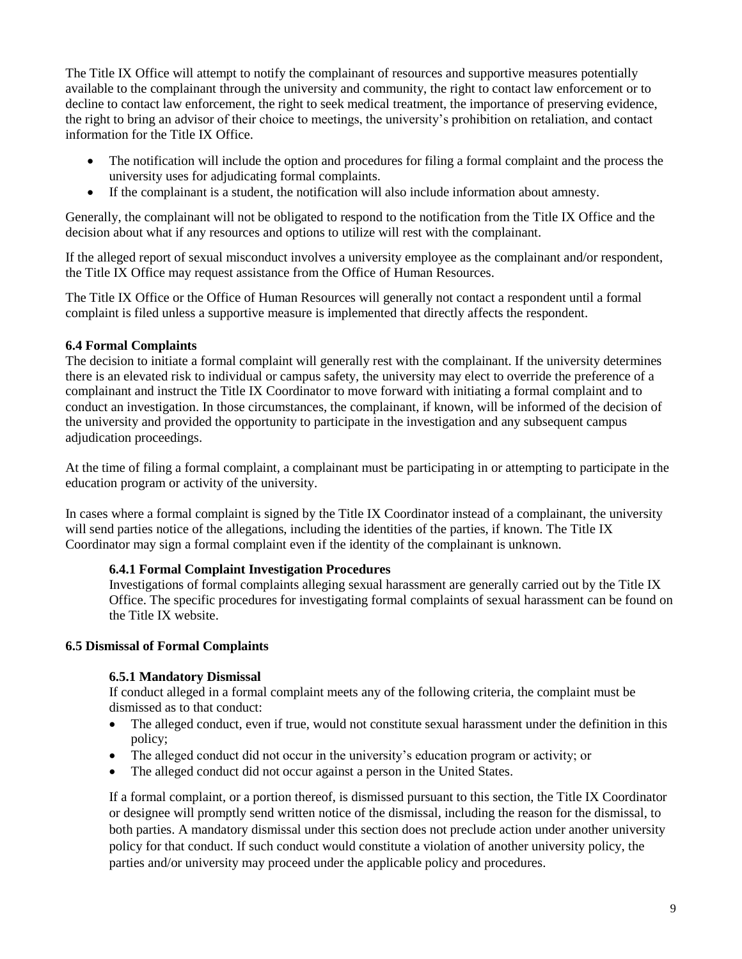The Title IX Office will attempt to notify the complainant of resources and supportive measures potentially available to the complainant through the university and community, the right to contact law enforcement or to decline to contact law enforcement, the right to seek medical treatment, the importance of preserving evidence, the right to bring an advisor of their choice to meetings, the university's prohibition on retaliation, and contact information for the Title IX Office.

- The notification will include the option and procedures for filing a formal complaint and the process the university uses for adjudicating formal complaints.
- If the complainant is a student, the notification will also include information about amnesty.

Generally, the complainant will not be obligated to respond to the notification from the Title IX Office and the decision about what if any resources and options to utilize will rest with the complainant.

If the alleged report of sexual misconduct involves a university employee as the complainant and/or respondent, the Title IX Office may request assistance from the Office of Human Resources.

The Title IX Office or the Office of Human Resources will generally not contact a respondent until a formal complaint is filed unless a supportive measure is implemented that directly affects the respondent.

#### **6.4 Formal Complaints**

The decision to initiate a formal complaint will generally rest with the complainant. If the university determines there is an elevated risk to individual or campus safety, the university may elect to override the preference of a complainant and instruct the Title IX Coordinator to move forward with initiating a formal complaint and to conduct an investigation. In those circumstances, the complainant, if known, will be informed of the decision of the university and provided the opportunity to participate in the investigation and any subsequent campus adjudication proceedings.

At the time of filing a formal complaint, a complainant must be participating in or attempting to participate in the education program or activity of the university.

In cases where a formal complaint is signed by the Title IX Coordinator instead of a complainant, the university will send parties notice of the allegations, including the identities of the parties, if known. The Title IX Coordinator may sign a formal complaint even if the identity of the complainant is unknown.

#### **6.4.1 Formal Complaint Investigation Procedures**

Investigations of formal complaints alleging sexual harassment are generally carried out by the Title IX Office. The specific procedures for investigating formal complaints of sexual harassment can be found on the Title IX website.

#### **6.5 Dismissal of Formal Complaints**

#### **6.5.1 Mandatory Dismissal**

If conduct alleged in a formal complaint meets any of the following criteria, the complaint must be dismissed as to that conduct:

- The alleged conduct, even if true, would not constitute sexual harassment under the definition in this policy;
- The alleged conduct did not occur in the university's education program or activity; or
- The alleged conduct did not occur against a person in the United States.

If a formal complaint, or a portion thereof, is dismissed pursuant to this section, the Title IX Coordinator or designee will promptly send written notice of the dismissal, including the reason for the dismissal, to both parties. A mandatory dismissal under this section does not preclude action under another university policy for that conduct. If such conduct would constitute a violation of another university policy, the parties and/or university may proceed under the applicable policy and procedures.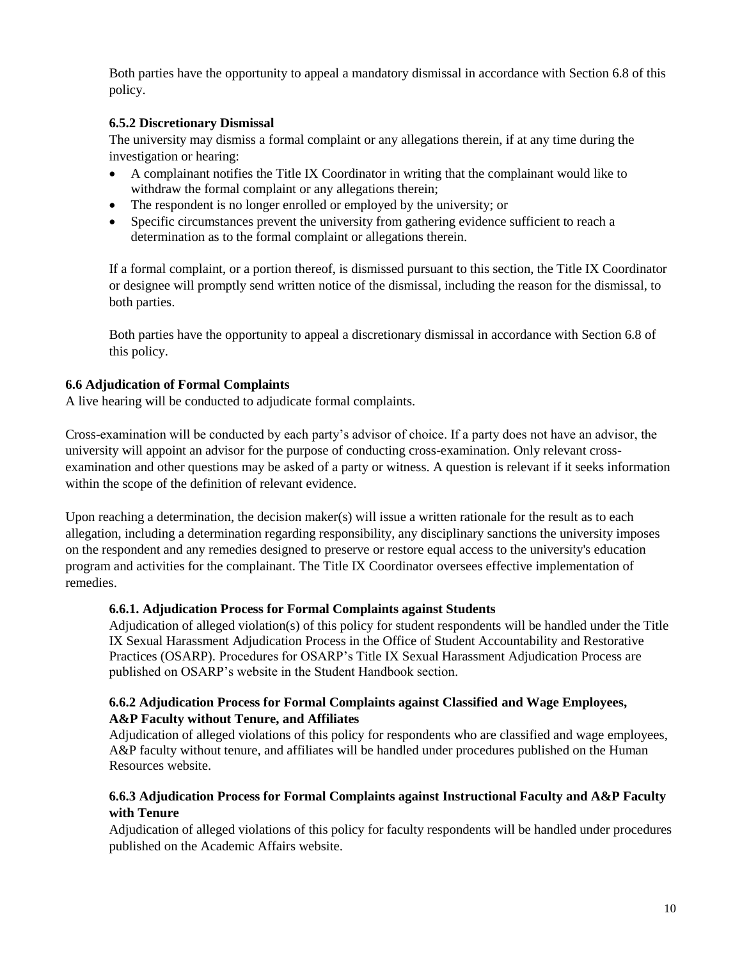Both parties have the opportunity to appeal a mandatory dismissal in accordance with Section 6.8 of this policy.

## **6.5.2 Discretionary Dismissal**

The university may dismiss a formal complaint or any allegations therein, if at any time during the investigation or hearing:

- A complainant notifies the Title IX Coordinator in writing that the complainant would like to withdraw the formal complaint or any allegations therein;
- The respondent is no longer enrolled or employed by the university; or
- Specific circumstances prevent the university from gathering evidence sufficient to reach a determination as to the formal complaint or allegations therein.

If a formal complaint, or a portion thereof, is dismissed pursuant to this section, the Title IX Coordinator or designee will promptly send written notice of the dismissal, including the reason for the dismissal, to both parties.

Both parties have the opportunity to appeal a discretionary dismissal in accordance with Section 6.8 of this policy.

## **6.6 Adjudication of Formal Complaints**

A live hearing will be conducted to adjudicate formal complaints.

Cross-examination will be conducted by each party's advisor of choice. If a party does not have an advisor, the university will appoint an advisor for the purpose of conducting cross-examination. Only relevant crossexamination and other questions may be asked of a party or witness. A question is relevant if it seeks information within the scope of the definition of relevant evidence.

Upon reaching a determination, the decision maker(s) will issue a written rationale for the result as to each allegation, including a determination regarding responsibility, any disciplinary sanctions the university imposes on the respondent and any remedies designed to preserve or restore equal access to the university's education program and activities for the complainant. The Title IX Coordinator oversees effective implementation of remedies.

## **6.6.1. Adjudication Process for Formal Complaints against Students**

Adjudication of alleged violation(s) of this policy for student respondents will be handled under the Title IX Sexual Harassment Adjudication Process in the Office of Student Accountability and Restorative Practices (OSARP). Procedures for OSARP's Title IX Sexual Harassment Adjudication Process are published on OSARP's website in the Student Handbook section.

### **6.6.2 Adjudication Process for Formal Complaints against Classified and Wage Employees, A&P Faculty without Tenure, and Affiliates**

Adjudication of alleged violations of this policy for respondents who are classified and wage employees, A&P faculty without tenure, and affiliates will be handled under procedures published on the Human Resources website.

## **6.6.3 Adjudication Process for Formal Complaints against Instructional Faculty and A&P Faculty with Tenure**

Adjudication of alleged violations of this policy for faculty respondents will be handled under procedures published on the Academic Affairs website.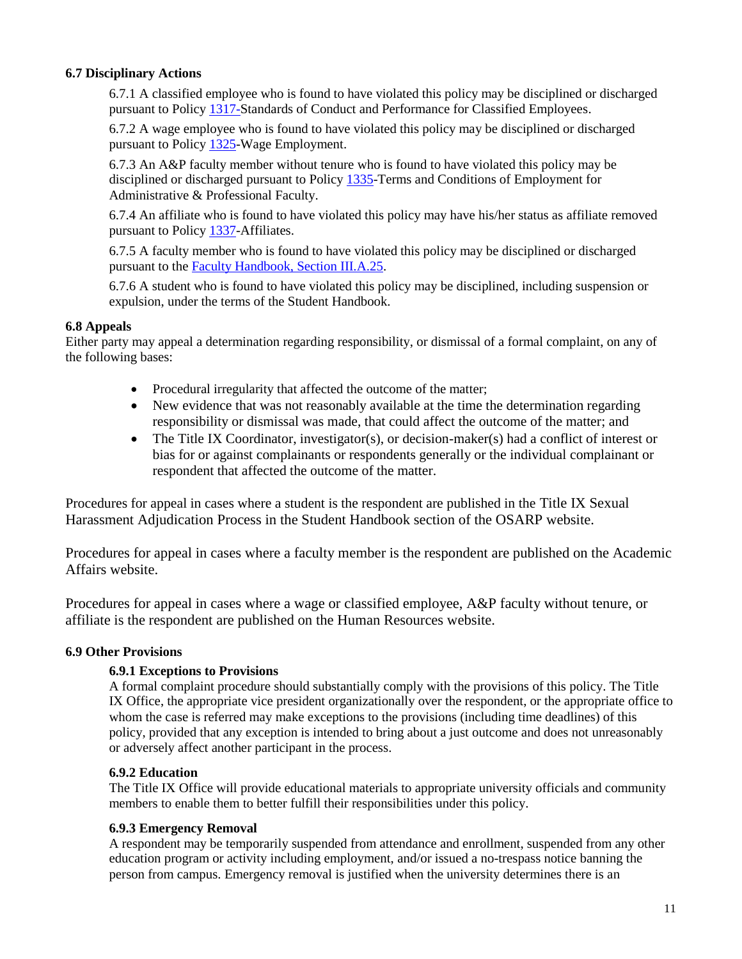### **6.7 Disciplinary Actions**

6.7.1 A classified employee who is found to have violated this policy may be disciplined or discharged pursuant to Policy [1317](https://www.jmu.edu/JMUpolicy/policies/1317.shtml)[-Standards of Conduct and Performance for Classified Employees.](http://www.jmu.edu/JMUpolicy/policies/1317.shtml)

6.7.2 A wage employee who is found to have violated this policy may be disciplined or discharged pursuant to Policy [1325-](https://www.jmu.edu/JMUpolicy/policies/1325.shtml)Wage Employment.

6.7.3 An A&P faculty member without tenure who is found to have violated this policy may be disciplined or discharged pursuant to Policy [1335-](https://www.jmu.edu/JMUpolicy/policies/1335.shtml)Terms and Conditions of Employment for Administrative & Professional Faculty.

6.7.4 An affiliate who is found to have violated this policy may have his/her status as affiliate removed pursuant to Policy [1337-](https://www.jmu.edu/JMUpolicy/policies/1337.shtml)Affiliates.

6.7.5 A faculty member who is found to have violated this policy may be disciplined or discharged pursuant to the [Faculty Handbook, Section III.A.25.](https://jmu.edu/facultyhandbook/iii-policies-procedures/a-rights.shtml?_ga=2.127059205.922545867.1567017274-1807820744.1567017274#IIIA25)

6.7.6 A student who is found to have violated this policy may be disciplined, including suspension or expulsion, under the terms of the Student Handbook.

#### **6.8 Appeals**

Either party may appeal a determination regarding responsibility, or dismissal of a formal complaint, on any of the following bases:

- Procedural irregularity that affected the outcome of the matter;
- New evidence that was not reasonably available at the time the determination regarding responsibility or dismissal was made, that could affect the outcome of the matter; and
- The Title IX Coordinator, investigator(s), or decision-maker(s) had a conflict of interest or bias for or against complainants or respondents generally or the individual complainant or respondent that affected the outcome of the matter.

Procedures for appeal in cases where a student is the respondent are published in the Title IX Sexual Harassment Adjudication Process in the Student Handbook section of the OSARP website.

Procedures for appeal in cases where a faculty member is the respondent are published on the Academic Affairs website.

Procedures for appeal in cases where a wage or classified employee, A&P faculty without tenure, or affiliate is the respondent are published on the Human Resources website.

#### **6.9 Other Provisions**

#### **6.9.1 Exceptions to Provisions**

A formal complaint procedure should substantially comply with the provisions of this policy. The Title IX Office, the appropriate vice president organizationally over the respondent, or the appropriate office to whom the case is referred may make exceptions to the provisions (including time deadlines) of this policy, provided that any exception is intended to bring about a just outcome and does not unreasonably or adversely affect another participant in the process.

#### **6.9.2 Education**

The Title IX Office will provide educational materials to appropriate university officials and community members to enable them to better fulfill their responsibilities under this policy.

#### **6.9.3 Emergency Removal**

A respondent may be temporarily suspended from attendance and enrollment, suspended from any other education program or activity including employment, and/or issued a no-trespass notice banning the person from campus. Emergency removal is justified when the university determines there is an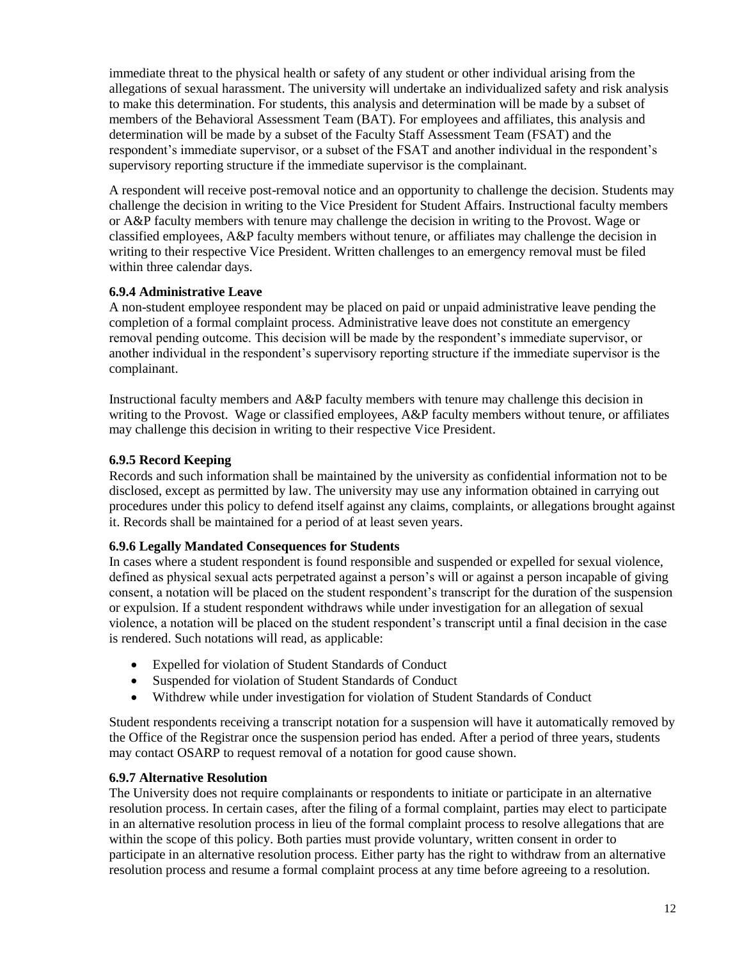immediate threat to the physical health or safety of any student or other individual arising from the allegations of sexual harassment. The university will undertake an individualized safety and risk analysis to make this determination. For students, this analysis and determination will be made by a subset of members of the Behavioral Assessment Team (BAT). For employees and affiliates, this analysis and determination will be made by a subset of the Faculty Staff Assessment Team (FSAT) and the respondent's immediate supervisor, or a subset of the FSAT and another individual in the respondent's supervisory reporting structure if the immediate supervisor is the complainant.

A respondent will receive post-removal notice and an opportunity to challenge the decision. Students may challenge the decision in writing to the Vice President for Student Affairs. Instructional faculty members or A&P faculty members with tenure may challenge the decision in writing to the Provost. Wage or classified employees, A&P faculty members without tenure, or affiliates may challenge the decision in writing to their respective Vice President. Written challenges to an emergency removal must be filed within three calendar days.

### **6.9.4 Administrative Leave**

A non-student employee respondent may be placed on paid or unpaid administrative leave pending the completion of a formal complaint process. Administrative leave does not constitute an emergency removal pending outcome. This decision will be made by the respondent's immediate supervisor, or another individual in the respondent's supervisory reporting structure if the immediate supervisor is the complainant.

Instructional faculty members and A&P faculty members with tenure may challenge this decision in writing to the Provost. Wage or classified employees, A&P faculty members without tenure, or affiliates may challenge this decision in writing to their respective Vice President.

## **6.9.5 Record Keeping**

Records and such information shall be maintained by the university as confidential information not to be disclosed, except as permitted by law. The university may use any information obtained in carrying out procedures under this policy to defend itself against any claims, complaints, or allegations brought against it. Records shall be maintained for a period of at least seven years.

#### **6.9.6 Legally Mandated Consequences for Students**

In cases where a student respondent is found responsible and suspended or expelled for sexual violence, defined as physical sexual acts perpetrated against a person's will or against a person incapable of giving consent, a notation will be placed on the student respondent's transcript for the duration of the suspension or expulsion. If a student respondent withdraws while under investigation for an allegation of sexual violence, a notation will be placed on the student respondent's transcript until a final decision in the case is rendered. Such notations will read, as applicable:

- Expelled for violation of Student Standards of Conduct
- Suspended for violation of Student Standards of Conduct
- Withdrew while under investigation for violation of Student Standards of Conduct

Student respondents receiving a transcript notation for a suspension will have it automatically removed by the Office of the Registrar once the suspension period has ended. After a period of three years, students may contact OSARP to request removal of a notation for good cause shown.

## **6.9.7 Alternative Resolution**

The University does not require complainants or respondents to initiate or participate in an alternative resolution process. In certain cases, after the filing of a formal complaint, parties may elect to participate in an alternative resolution process in lieu of the formal complaint process to resolve allegations that are within the scope of this policy. Both parties must provide voluntary, written consent in order to participate in an alternative resolution process. Either party has the right to withdraw from an alternative resolution process and resume a formal complaint process at any time before agreeing to a resolution.